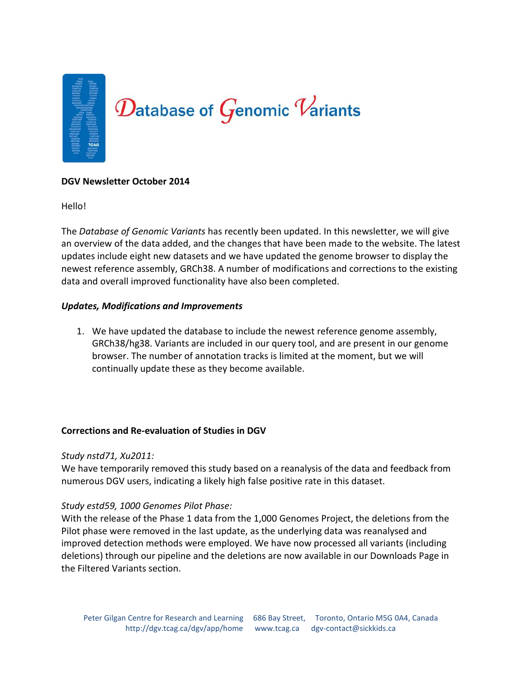

#### **DGV Newsletter October 2014**

Hello!

The *Database of Genomic Variants* has recently been updated. In this newsletter, we will give an overview of the data added, and the changes that have been made to the website. The latest updates include eight new datasets and we have updated the genome browser to display the newest reference assembly, GRCh38. A number of modifications and corrections to the existing data and overall improved functionality have also been completed.

#### *Updates, Modifications and Improvements*

1. We have updated the database to include the newest reference genome assembly, GRCh38/hg38. Variants are included in our query tool, and are present in our genome browser. The number of annotation tracks is limited at the moment, but we will continually update these as they become available.

#### **Corrections and Re-evaluation of Studies in DGV**

#### *Study nstd71, Xu2011:*

We have temporarily removed this study based on a reanalysis of the data and feedback from numerous DGV users, indicating a likely high false positive rate in this dataset.

#### *Study estd59, 1000 Genomes Pilot Phase:*

With the release of the Phase 1 data from the 1,000 Genomes Project, the deletions from the Pilot phase were removed in the last update, as the underlying data was reanalysed and improved detection methods were employed. We have now processed all variants (including deletions) through our pipeline and the deletions are now available in our Downloads Page in the Filtered Variants section.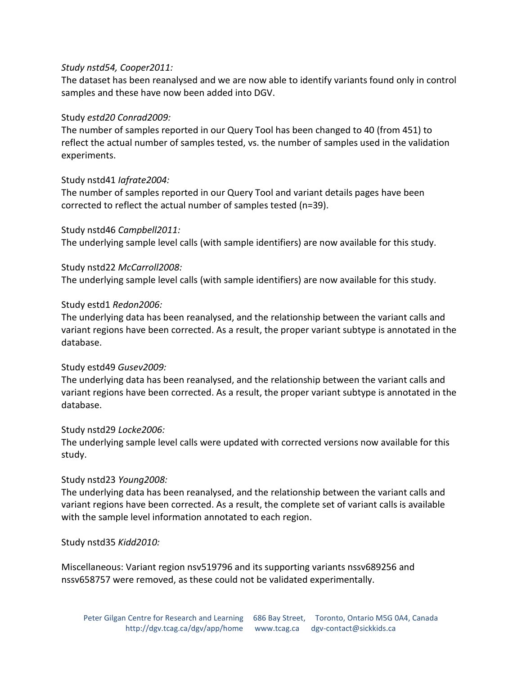## *Study nstd54, Cooper2011:*

The dataset has been reanalysed and we are now able to identify variants found only in control samples and these have now been added into DGV.

## Study *estd20 Conrad2009:*

The number of samples reported in our Query Tool has been changed to 40 (from 451) to reflect the actual number of samples tested, vs. the number of samples used in the validation experiments.

## Study nstd41 *Iafrate2004:*

The number of samples reported in our Query Tool and variant details pages have been corrected to reflect the actual number of samples tested (n=39).

Study nstd46 *Campbell2011:* The underlying sample level calls (with sample identifiers) are now available for this study.

## Study nstd22 *McCarroll2008:*

The underlying sample level calls (with sample identifiers) are now available for this study.

#### Study estd1 *Redon2006:*

The underlying data has been reanalysed, and the relationship between the variant calls and variant regions have been corrected. As a result, the proper variant subtype is annotated in the database.

#### Study estd49 *Gusev2009:*

The underlying data has been reanalysed, and the relationship between the variant calls and variant regions have been corrected. As a result, the proper variant subtype is annotated in the database.

#### Study nstd29 *Locke2006:*

The underlying sample level calls were updated with corrected versions now available for this study.

#### Study nstd23 *Young2008:*

The underlying data has been reanalysed, and the relationship between the variant calls and variant regions have been corrected. As a result, the complete set of variant calls is available with the sample level information annotated to each region.

#### Study nstd35 *Kidd2010:*

Miscellaneous: Variant region nsv519796 and its supporting variants nssv689256 and nssv658757 were removed, as these could not be validated experimentally.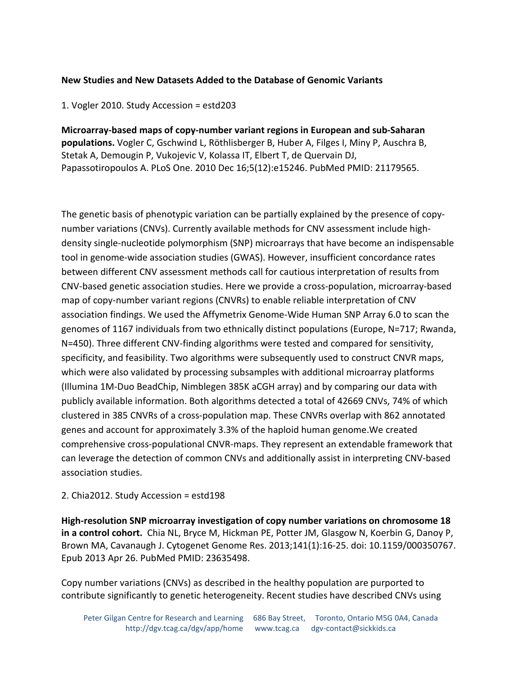# **New Studies and New Datasets Added to the Database of Genomic Variants**

1. Vogler 2010. Study Accession = estd203

**Microarray-based maps of copy-number variant regions in European and sub-Saharan populations.** Vogler C, Gschwind L, Röthlisberger B, Huber A, Filges I, Miny P, Auschra B, Stetak A, Demougin P, Vukojevic V, Kolassa IT, Elbert T, de Quervain DJ, Papassotiropoulos A. PLoS One. 2010 Dec 16;5(12):e15246. PubMed PMID: 21179565.

The genetic basis of phenotypic variation can be partially explained by the presence of copynumber variations (CNVs). Currently available methods for CNV assessment include highdensity single-nucleotide polymorphism (SNP) microarrays that have become an indispensable tool in genome-wide association studies (GWAS). However, insufficient concordance rates between different CNV assessment methods call for cautious interpretation of results from CNV-based genetic association studies. Here we provide a cross-population, microarray-based map of copy-number variant regions (CNVRs) to enable reliable interpretation of CNV association findings. We used the Affymetrix Genome-Wide Human SNP Array 6.0 to scan the genomes of 1167 individuals from two ethnically distinct populations (Europe, N=717; Rwanda, N=450). Three different CNV-finding algorithms were tested and compared for sensitivity, specificity, and feasibility. Two algorithms were subsequently used to construct CNVR maps, which were also validated by processing subsamples with additional microarray platforms (Illumina 1M-Duo BeadChip, Nimblegen 385K aCGH array) and by comparing our data with publicly available information. Both algorithms detected a total of 42669 CNVs, 74% of which clustered in 385 CNVRs of a cross-population map. These CNVRs overlap with 862 annotated genes and account for approximately 3.3% of the haploid human genome.We created comprehensive cross-populational CNVR-maps. They represent an extendable framework that can leverage the detection of common CNVs and additionally assist in interpreting CNV-based association studies.

#### 2. Chia2012. Study Accession = estd198

**High-resolution SNP microarray investigation of copy number variations on chromosome 18 in a control cohort.** Chia NL, Bryce M, Hickman PE, Potter JM, Glasgow N, Koerbin G, Danoy P, Brown MA, Cavanaugh J. Cytogenet Genome Res. 2013;141(1):16-25. doi: 10.1159/000350767. Epub 2013 Apr 26. PubMed PMID: 23635498.

Copy number variations (CNVs) as described in the healthy population are purported to contribute significantly to genetic heterogeneity. Recent studies have described CNVs using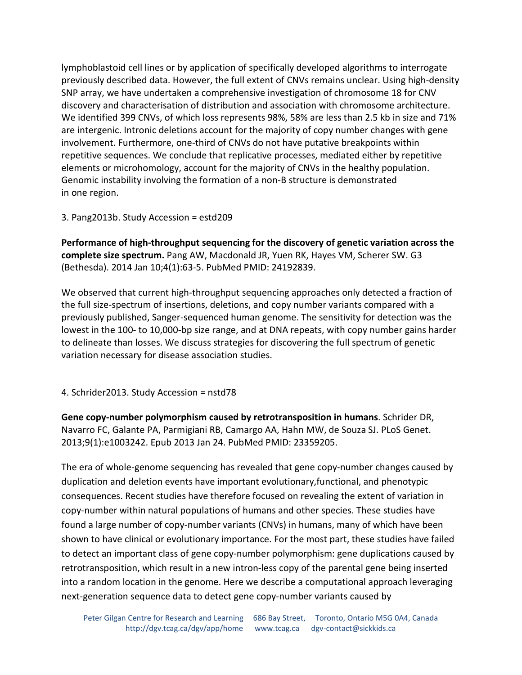lymphoblastoid cell lines or by application of specifically developed algorithms to interrogate previously described data. However, the full extent of CNVs remains unclear. Using high-density SNP array, we have undertaken a comprehensive investigation of chromosome 18 for CNV discovery and characterisation of distribution and association with chromosome architecture. We identified 399 CNVs, of which loss represents 98%, 58% are less than 2.5 kb in size and 71% are intergenic. Intronic deletions account for the majority of copy number changes with gene involvement. Furthermore, one-third of CNVs do not have putative breakpoints within repetitive sequences. We conclude that replicative processes, mediated either by repetitive elements or microhomology, account for the majority of CNVs in the healthy population. Genomic instability involving the formation of a non-B structure is demonstrated in one region.

3. Pang2013b. Study Accession = estd209

**Performance of high-throughput sequencing for the discovery of genetic variation across the complete size spectrum.** Pang AW, Macdonald JR, Yuen RK, Hayes VM, Scherer SW. G3 (Bethesda). 2014 Jan 10;4(1):63-5. PubMed PMID: 24192839.

We observed that current high-throughput sequencing approaches only detected a fraction of the full size-spectrum of insertions, deletions, and copy number variants compared with a previously published, Sanger-sequenced human genome. The sensitivity for detection was the lowest in the 100- to 10,000-bp size range, and at DNA repeats, with copy number gains harder to delineate than losses. We discuss strategies for discovering the full spectrum of genetic variation necessary for disease association studies.

4. Schrider2013. Study Accession = nstd78

**Gene copy-number polymorphism caused by retrotransposition in humans**. Schrider DR, Navarro FC, Galante PA, Parmigiani RB, Camargo AA, Hahn MW, de Souza SJ. PLoS Genet. 2013;9(1):e1003242. Epub 2013 Jan 24. PubMed PMID: 23359205.

The era of whole-genome sequencing has revealed that gene copy-number changes caused by duplication and deletion events have important evolutionary,functional, and phenotypic consequences. Recent studies have therefore focused on revealing the extent of variation in copy-number within natural populations of humans and other species. These studies have found a large number of copy-number variants (CNVs) in humans, many of which have been shown to have clinical or evolutionary importance. For the most part, these studies have failed to detect an important class of gene copy-number polymorphism: gene duplications caused by retrotransposition, which result in a new intron-less copy of the parental gene being inserted into a random location in the genome. Here we describe a computational approach leveraging next-generation sequence data to detect gene copy-number variants caused by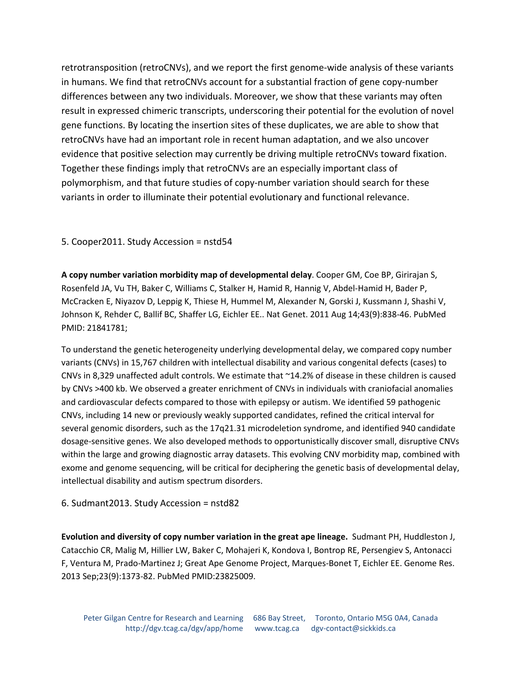retrotransposition (retroCNVs), and we report the first genome-wide analysis of these variants in humans. We find that retroCNVs account for a substantial fraction of gene copy-number differences between any two individuals. Moreover, we show that these variants may often result in expressed chimeric transcripts, underscoring their potential for the evolution of novel gene functions. By locating the insertion sites of these duplicates, we are able to show that retroCNVs have had an important role in recent human adaptation, and we also uncover evidence that positive selection may currently be driving multiple retroCNVs toward fixation. Together these findings imply that retroCNVs are an especially important class of polymorphism, and that future studies of copy-number variation should search for these variants in order to illuminate their potential evolutionary and functional relevance.

# 5. Cooper2011. Study Accession = nstd54

**A copy number variation morbidity map of developmental delay**. Cooper GM, Coe BP, Girirajan S, Rosenfeld JA, Vu TH, Baker C, Williams C, Stalker H, Hamid R, Hannig V, Abdel-Hamid H, Bader P, McCracken E, Niyazov D, Leppig K, Thiese H, Hummel M, Alexander N, Gorski J, Kussmann J, Shashi V, Johnson K, Rehder C, Ballif BC, Shaffer LG, Eichler EE.. Nat Genet. 2011 Aug 14;43(9):838-46. PubMed PMID: 21841781;

To understand the genetic heterogeneity underlying developmental delay, we compared copy number variants (CNVs) in 15,767 children with intellectual disability and various congenital defects (cases) to CNVs in 8,329 unaffected adult controls. We estimate that ~14.2% of disease in these children is caused by CNVs >400 kb. We observed a greater enrichment of CNVs in individuals with craniofacial anomalies and cardiovascular defects compared to those with epilepsy or autism. We identified 59 pathogenic CNVs, including 14 new or previously weakly supported candidates, refined the critical interval for several genomic disorders, such as the 17q21.31 microdeletion syndrome, and identified 940 candidate dosage-sensitive genes. We also developed methods to opportunistically discover small, disruptive CNVs within the large and growing diagnostic array datasets. This evolving CNV morbidity map, combined with exome and genome sequencing, will be critical for deciphering the genetic basis of developmental delay, intellectual disability and autism spectrum disorders.

#### 6. Sudmant2013. Study Accession = nstd82

**Evolution and diversity of copy number variation in the great ape lineage.** Sudmant PH, Huddleston J, Catacchio CR, Malig M, Hillier LW, Baker C, Mohajeri K, Kondova I, Bontrop RE, Persengiev S, Antonacci F, Ventura M, Prado-Martinez J; Great Ape Genome Project, Marques-Bonet T, Eichler EE. Genome Res. 2013 Sep;23(9):1373-82. PubMed PMID:23825009.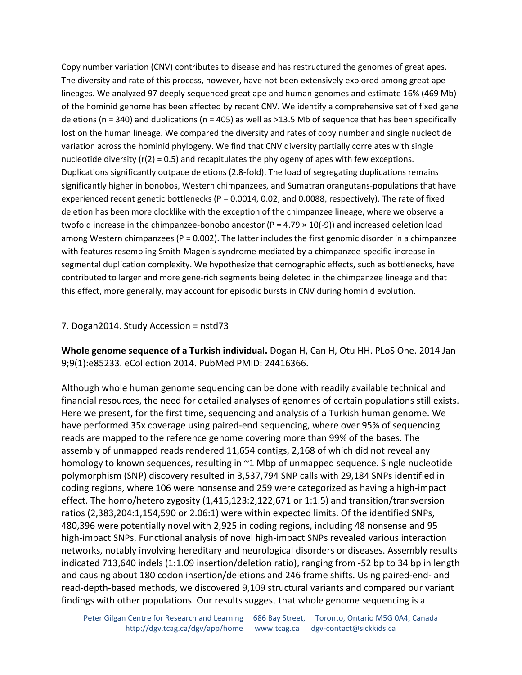Copy number variation (CNV) contributes to disease and has restructured the genomes of great apes. The diversity and rate of this process, however, have not been extensively explored among great ape lineages. We analyzed 97 deeply sequenced great ape and human genomes and estimate 16% (469 Mb) of the hominid genome has been affected by recent CNV. We identify a comprehensive set of fixed gene deletions ( $n = 340$ ) and duplications ( $n = 405$ ) as well as >13.5 Mb of sequence that has been specifically lost on the human lineage. We compared the diversity and rates of copy number and single nucleotide variation across the hominid phylogeny. We find that CNV diversity partially correlates with single nucleotide diversity ( $r(2) = 0.5$ ) and recapitulates the phylogeny of apes with few exceptions. Duplications significantly outpace deletions (2.8-fold). The load of segregating duplications remains significantly higher in bonobos, Western chimpanzees, and Sumatran orangutans-populations that have experienced recent genetic bottlenecks ( $P = 0.0014$ , 0.02, and 0.0088, respectively). The rate of fixed deletion has been more clocklike with the exception of the chimpanzee lineage, where we observe a twofold increase in the chimpanzee-bonobo ancestor (P = 4.79  $\times$  10(-9)) and increased deletion load among Western chimpanzees ( $P = 0.002$ ). The latter includes the first genomic disorder in a chimpanzee with features resembling Smith-Magenis syndrome mediated by a chimpanzee-specific increase in segmental duplication complexity. We hypothesize that demographic effects, such as bottlenecks, have contributed to larger and more gene-rich segments being deleted in the chimpanzee lineage and that this effect, more generally, may account for episodic bursts in CNV during hominid evolution.

#### 7. Dogan2014. Study Accession = nstd73

**Whole genome sequence of a Turkish individual.** Dogan H, Can H, Otu HH. PLoS One. 2014 Jan 9;9(1):e85233. eCollection 2014. PubMed PMID: 24416366.

Although whole human genome sequencing can be done with readily available technical and financial resources, the need for detailed analyses of genomes of certain populations still exists. Here we present, for the first time, sequencing and analysis of a Turkish human genome. We have performed 35x coverage using paired-end sequencing, where over 95% of sequencing reads are mapped to the reference genome covering more than 99% of the bases. The assembly of unmapped reads rendered 11,654 contigs, 2,168 of which did not reveal any homology to known sequences, resulting in ~1 Mbp of unmapped sequence. Single nucleotide polymorphism (SNP) discovery resulted in 3,537,794 SNP calls with 29,184 SNPs identified in coding regions, where 106 were nonsense and 259 were categorized as having a high-impact effect. The homo/hetero zygosity (1,415,123:2,122,671 or 1:1.5) and transition/transversion ratios (2,383,204:1,154,590 or 2.06:1) were within expected limits. Of the identified SNPs, 480,396 were potentially novel with 2,925 in coding regions, including 48 nonsense and 95 high-impact SNPs. Functional analysis of novel high-impact SNPs revealed various interaction networks, notably involving hereditary and neurological disorders or diseases. Assembly results indicated 713,640 indels (1:1.09 insertion/deletion ratio), ranging from -52 bp to 34 bp in length and causing about 180 codon insertion/deletions and 246 frame shifts. Using paired-end- and read-depth-based methods, we discovered 9,109 structural variants and compared our variant findings with other populations. Our results suggest that whole genome sequencing is a